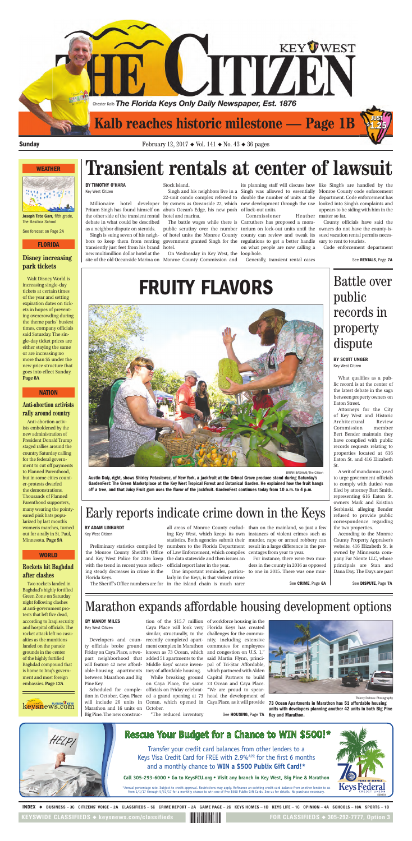#### **Disney increasing park tickets**

Walt Disney World is increasing single-day tickets at certain times of the year and setting expiration dates on tickets in hopes of preventing overcrowding during the theme parks' busiest times, company officials said Saturday. The single-day ticket prices are either staying the same or are increasing no more than \$5 under the new price structure that goes into effect Sunday. **Page 8A**

#### **WEATHER**



**Joseph Tate Garr,** fifth grade, The Basilica School

See forecast on Page 2A

#### **FLORIDA**

### **Anti-abortion activists rally around country**

Anti-abortion activists emboldened by the new administration of President Donald Trump staged rallies around the country Saturday calling for the federal government to cut off payments to Planned Parenthood, but in some cities counter-protests dwarfed the demonstrations. Thousands of Planned Parenthood supporters, many wearing the pointyeared pink hats popularized by last month's women's marches, turned out for a rally in St. Paul, Minnesota. **Page 9A**

#### **NATION**

#### **Rockets hit Baghdad after clashes**

Two rockets landed in Baghdad's highly fortified Green Zone on Saturday night following clashes at anti-government protests that left five dead, according to Iraqi security and hospital officials. The rocket attack left no casualties as the munitions landed on the parade grounds in the center of the highly fortified Baghdad compound that is home to Iraq's government and most foreign embassies. **Page 12A**



#### **WORLD**

appears to be siding with him in the Heather matter so far.



INDEX ◆ BUSINESS-3C CITIZENS' VOICE-2A CLASSIFIEDS-5C CRIME REPORT-2A GAME PAGE-2C KEYS HOMES-1D KEYS LIFE-1C OPINION-4A SCHOOLS-10A SPORTS-1B

**KEYSWIDE CLASSIFIEDS ◆ keysnews.com/classifieds** 

FOR CLASSIFIEDS  $\triangle$  305-292-7777, Option 3

with the trend in recent years reflect-official report later in the year. ing steady decreases in crime in the Florida Keys.

the Monroe County Sheriff's Office of Law Enforcement, which compiles centages from year to year. and Key West Police for 2016 keep the data statewide and then issues an

Preliminary statistics compiled by numbers to the Florida Department result in a large difference in the perall areas of Monroe County exclud-than on the mainland, so just a few ing Key West, which keeps its own instances of violent crimes such as statistics. Both agencies submit their murder, rape or armed robbery can

The Sheriff's Office numbers are for in the island chain is much rarer

larly in the Keys, is that violent crime

One important reminder, particu-to one in 2015. There was one mur-For instance, there were two murders in the county in 2016 as opposed

See **CRIME**, Page **6A**

the other side of the transient rental hotel and marina. debate in what could be described as a neighbor dispute on steroids.

Singh is suing seven of his neightransiently just feet from his brand hotel. new multimillion dollar hotel at the

Stock Island.

Pritam Singh has found himself on abuts Ocean's Edge, his new posh of lock-out units.

site of the old Oceanside Marina on Monroe County Commission and On Wednesday in Key West, the

Millionaire hotel developer by owners as Oceanside 22, which new development through the use looked into Singh's complaints and Singh and his neighbors live in a Singh was allowed to essentially Monroe County code enforcement 22-unit condo complex referred to double the number of units at the department. Code enforcement has its planning staff will discuss how like Singh's are handled by the

bors to keep them from renting government granted Singh for the regulations to get a better handle sary to rent to tourists. The battle wages while there is Carruthers has proposed a morapublic scrutiny over the number torium on lock-out units until the owners do not have the county-isof hotel units the Monroe County county can review and tweak its sued vacation rental permits neces-Commissioner on what people are now calling a loop hole.

Generally, transient rental cases

County officials have said the

Code enforcement department



**Sunday** February 12, 2017 ◆ Vol. 141 ◆ No. 43 ◆ 36 pages

## **Transient rentals at center of lawsuit BY TIMOTHY O'HARA**

Key West Citizen

See **RENTALS**, Page **7A**

What qualifies as a public record is at the center of the latest debate in the saga between property owners on Eaton Street.

Attorneys for the City of Key West and Historic Architectural Review Commission member Bert Bender maintain they have complied with public records requests relating to properties located at 616 Eaton St. and 416 Elizabeth St. A writ of mandamus (used to urge government officials to comply with duties) was filed by attorney Bart Smith, representing 616 Eaton St. owners Mark and Kristina Serbinski, alleging Bender refused to provide public correspondence regarding the two properties.

According to the Monroe County Property Appraiser's website, 416 Elizabeth St. is owned by Minnesota company Far Niente LLC, whose principals are Stan and Dana Day. The Days are part

## Battle over public records in property dispute

Developers and coun-Friday on Caya Place, a twoable-housing apartments tory of affordable housing. between Marathon and Big Pine Key.

Marathon and 16 units on October. Big Pine. The new construc-

ty officials broke ground ment complex in Marathon commutes for employees part neighborhood that added 51 apartments to the said Martin Flynn, princiwill feature 42 new afford-Middle Keys' scarce inven-pal of Tri-Star Affordable, Caya Place will look very Florida Keys has created similar, structurally, to the challenges for the commurecently completed apart-nity, including extensive known as 73 Ocean, which and congestion on U.S. 1," While breaking ground Capital Partners to build on Caya Place, the same 73 Ocean and Caya Place. which partnered with Alden

tion of the \$15.7 million of workforce housing in the

Scheduled for comple-officials on Friday celebrat-"We are proud to speartion in October, Caya Place ed a grand opening at 73 head the development of will include 26 units in Ocean, which opened in Caya Place, as it will provide

"The reduced inventory

See **HOUSING**, Page **7A**



Early reports indicate crime down in the Keys

## Marathon expands affordable housing development options

#### **BY ADAM LINHARDT**

Key West Citizen

**BY MANDY MILES**

Key West Citizen

**BY SCOTT UNGER** Key West Citizen

See **DISPUTE**, Page **7A**

BRIAN BASHAM/The Citizen

**Austin Daly, right, shows Shirley Potasiewcz, of New York, a jackfruit at the Grimal Grove produce stand during Saturday's GardenFest: The Green Marketplace at the Key West Tropical Forest and Botanical Garden. He explained how the fruit hangs off a tree, and that Juicy Fruit gum uses the flavor of the jackfruit. GardenFest continues today from 10 a.m. to 4 p.m.**

Thierry Dehove Photography

**73 Ocean Apartments in Marathon has 51 affordable housing units with developers planning another 42 units in both Big Pine Key and Marathon.**

## **FRUITY FLAVORS**